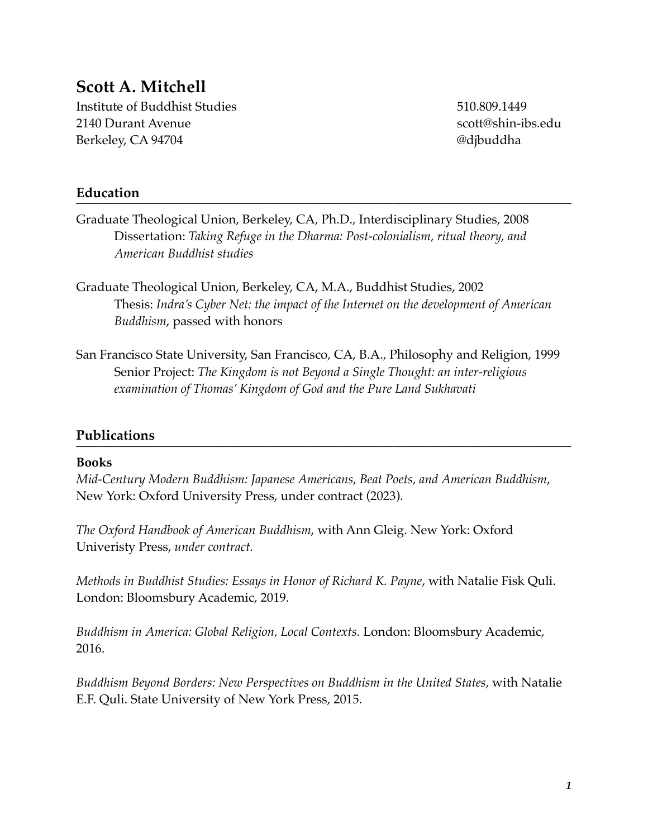### **Scott A. Mitchell**

Institute of Buddhist Studies 510.809.1449 2140 Durant Avenue scott@shin-ibs.edu Berkeley, CA 94704 **and 2018** and 2018 and 2019 and 2019 and 2019 and 2019 and 2019 and 2019 and 2019 and 2019 and 2019 and 2019 and 2019 and 2019 and 2019 and 2019 and 2019 and 2019 and 2019 and 2019 and 2019 and 2019 and

# **Education** ———————————————————————————————————————

- Graduate Theological Union, Berkeley, CA, Ph.D., Interdisciplinary Studies, 2008 Dissertation: *Taking Refuge in the Dharma: Post-colonialism, ritual theory, and American Buddhist studies*
- Graduate Theological Union, Berkeley, CA, M.A., Buddhist Studies, 2002 Thesis: *Indra's Cyber Net: the impact of the Internet on the development of American Buddhism*, passed with honors
- San Francisco State University, San Francisco, CA, B.A., Philosophy and Religion, 1999 Senior Project: *The Kingdom is not Beyond a Single Thought: an inter-religious examination of Thomas' Kingdom of God and the Pure Land Sukhavati*

# **Publications** ———————————————————————————————————————

### **Books**

*Mid-Century Modern Buddhism: Japanese Americans, Beat Poets, and American Buddhism*, New York: Oxford University Press, under contract (2023).

*The Oxford Handbook of American Buddhism*, with Ann Gleig. New York: Oxford Univeristy Press, *under contract.*

*Methods in Buddhist Studies: Essays in Honor of Richard K. Payne*, with Natalie Fisk Quli. London: Bloomsbury Academic, 2019.

*Buddhism in America: Global Religion, Local Contexts.* London: Bloomsbury Academic, 2016.

*Buddhism Beyond Borders: New Perspectives on Buddhism in the United States*, with Natalie E.F. Quli. State University of New York Press, 2015.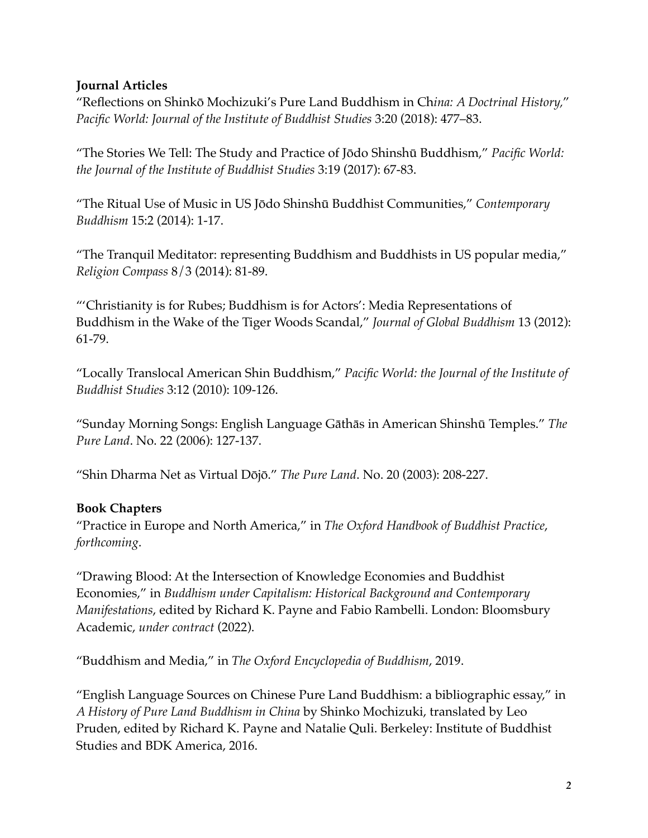### **Journal Articles**

"Reflections on Shinkō Mochizuki's Pure Land Buddhism in Ch*ina: A Doctrinal History,*" *Pacific World: Journal of the Institute of Buddhist Studies* 3:20 (2018): 477–83.

"The Stories We Tell: The Study and Practice of Jōdo Shinshū Buddhism," *Pacific World: the Journal of the Institute of Buddhist Studies* 3:19 (2017): 67-83.

"The Ritual Use of Music in US Jōdo Shinshū Buddhist Communities," *Contemporary Buddhism* 15:2 (2014): 1-17.

"The Tranquil Meditator: representing Buddhism and Buddhists in US popular media," *Religion Compass* 8/3 (2014): 81-89.

"'Christianity is for Rubes; Buddhism is for Actors': Media Representations of Buddhism in the Wake of the Tiger Woods Scandal," *Journal of Global Buddhism* 13 (2012): 61-79.

"Locally Translocal American Shin Buddhism," *Pacific World: the Journal of the Institute of Buddhist Studies* 3:12 (2010): 109-126.

"Sunday Morning Songs: English Language Gāthās in American Shinshū Temples." *The Pure Land*. No. 22 (2006): 127-137.

"Shin Dharma Net as Virtual Dōjō." *The Pure Land*. No. 20 (2003): 208-227.

### **Book Chapters**

"Practice in Europe and North America," in *The Oxford Handbook of Buddhist Practice*, *forthcoming*.

"Drawing Blood: At the Intersection of Knowledge Economies and Buddhist Economies," in *Buddhism under Capitalism: Historical Background and Contemporary Manifestations*, edited by Richard K. Payne and Fabio Rambelli. London: Bloomsbury Academic, *under contract* (2022).

"Buddhism and Media," in *The Oxford Encyclopedia of Buddhism*, 2019.

"English Language Sources on Chinese Pure Land Buddhism: a bibliographic essay," in *A History of Pure Land Buddhism in China* by Shinko Mochizuki, translated by Leo Pruden, edited by Richard K. Payne and Natalie Quli. Berkeley: Institute of Buddhist Studies and BDK America, 2016.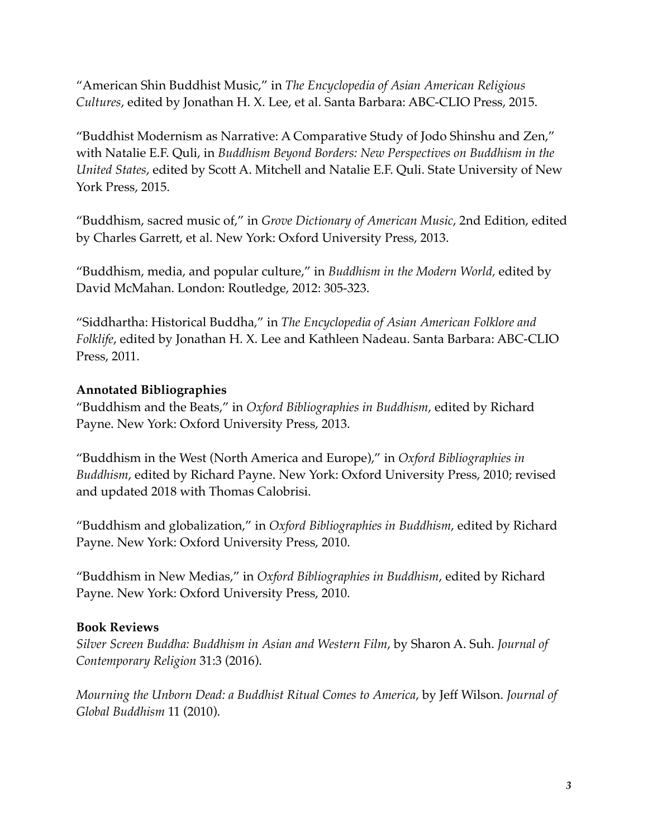"American Shin Buddhist Music," in *The Encyclopedia of Asian American Religious Cultures*, edited by Jonathan H. X. Lee, et al. Santa Barbara: ABC-CLIO Press, 2015.

"Buddhist Modernism as Narrative: A Comparative Study of Jodo Shinshu and Zen," with Natalie E.F. Quli, in *Buddhism Beyond Borders: New Perspectives on Buddhism in the United States*, edited by Scott A. Mitchell and Natalie E.F. Quli. State University of New York Press, 2015.

"Buddhism, sacred music of," in *Grove Dictionary of American Music*, 2nd Edition, edited by Charles Garrett, et al. New York: Oxford University Press, 2013.

"Buddhism, media, and popular culture," in *Buddhism in the Modern World,* edited by David McMahan. London: Routledge, 2012: 305-323.

"Siddhartha: Historical Buddha," in *The Encyclopedia of Asian American Folklore and Folklife*, edited by Jonathan H. X. Lee and Kathleen Nadeau. Santa Barbara: ABC-CLIO Press, 2011.

### **Annotated Bibliographies**

"Buddhism and the Beats," in *Oxford Bibliographies in Buddhism*, edited by Richard Payne. New York: Oxford University Press, 2013.

"Buddhism in the West (North America and Europe)," in *Oxford Bibliographies in Buddhism*, edited by Richard Payne. New York: Oxford University Press, 2010; revised and updated 2018 with Thomas Calobrisi.

"Buddhism and globalization," in *Oxford Bibliographies in Buddhism*, edited by Richard Payne. New York: Oxford University Press, 2010.

"Buddhism in New Medias," in *Oxford Bibliographies in Buddhism*, edited by Richard Payne. New York: Oxford University Press, 2010.

### **Book Reviews**

*Silver Screen Buddha: Buddhism in Asian and Western Film*, by Sharon A. Suh. *Journal of Contemporary Religion* 31:3 (2016).

*Mourning the Unborn Dead: a Buddhist Ritual Comes to America*, by Jeff Wilson. *Journal of Global Buddhism* 11 (2010).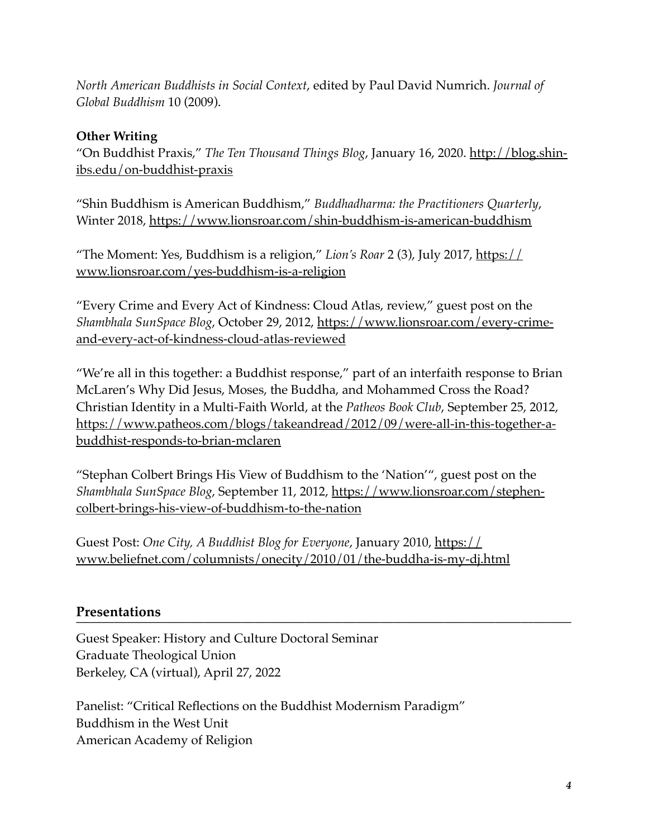*North American Buddhists in Social Context*, edited by Paul David Numrich. *Journal of Global Buddhism* 10 (2009).

### **Other Writing**

"On Buddhist Praxis," *The Ten Thousand Things Blog*, January 16, 2020. [http://blog.shin](http://blog.shin-ibs.edu/on-buddhist-praxis)[ibs.edu/on-buddhist-praxis](http://blog.shin-ibs.edu/on-buddhist-praxis)

"Shin Buddhism is American Buddhism," *Buddhadharma: the Practitioners Quarterly*, Winter 2018,<https://www.lionsroar.com/shin-buddhism-is-american-buddhism>

"The Moment: Yes, Buddhism is a religion," *Lion's Roar* 2 (3), July 2017, [https://](https://www.lionsroar.com/yes-buddhism-is-a-religion) [www.lionsroar.com/yes-buddhism-is-a-religion](https://www.lionsroar.com/yes-buddhism-is-a-religion)

"Every Crime and Every Act of Kindness: Cloud Atlas, review," guest post on the *Shambhala SunSpace Blog*[, October 29, 2012, https://www.lionsroar.com/every-crime](https://www.lionsroar.com/every-crime-and-every-act-of-kindness-cloud-atlas-reviewed)[and-every-act-of-kindness-cloud-atlas-reviewed](https://www.lionsroar.com/every-crime-and-every-act-of-kindness-cloud-atlas-reviewed)

"We're all in this together: a Buddhist response," part of an interfaith response to Brian McLaren's Why Did Jesus, Moses, the Buddha, and Mohammed Cross the Road? Christian Identity in a Multi-Faith World, at the *Patheos Book Club*, September 25, 2012, [https://www.patheos.com/blogs/takeandread/2012/09/were-all-in-this-together-a](https://www.patheos.com/blogs/takeandread/2012/09/were-all-in-this-together-a-buddhist-responds-to-brian-mclaren)[buddhist-responds-to-brian-mclaren](https://www.patheos.com/blogs/takeandread/2012/09/were-all-in-this-together-a-buddhist-responds-to-brian-mclaren)

"Stephan Colbert Brings His View of Buddhism to the 'Nation'", guest post on the *Shambhala SunSpace Blog*[, September 11, 2012, https://www.lionsroar.com/stephen](https://www.lionsroar.com/stephen-colbert-brings-his-view-of-buddhism-to-the-nation)[colbert-brings-his-view-of-buddhism-to-the-nation](https://www.lionsroar.com/stephen-colbert-brings-his-view-of-buddhism-to-the-nation)

Guest Post: *One City, A Buddhist Blog for Everyone*, January 2010, [https://](https://www.beliefnet.com/columnists/onecity/2010/01/the-buddha-is-my-dj.html) [www.beliefnet.com/columnists/onecity/2010/01/the-buddha-is-my-dj.html](https://www.beliefnet.com/columnists/onecity/2010/01/the-buddha-is-my-dj.html)

### **Presentations**

Guest Speaker: History and Culture Doctoral Seminar Graduate Theological Union Berkeley, CA (virtual), April 27, 2022

Panelist: "Critical Reflections on the Buddhist Modernism Paradigm" Buddhism in the West Unit American Academy of Religion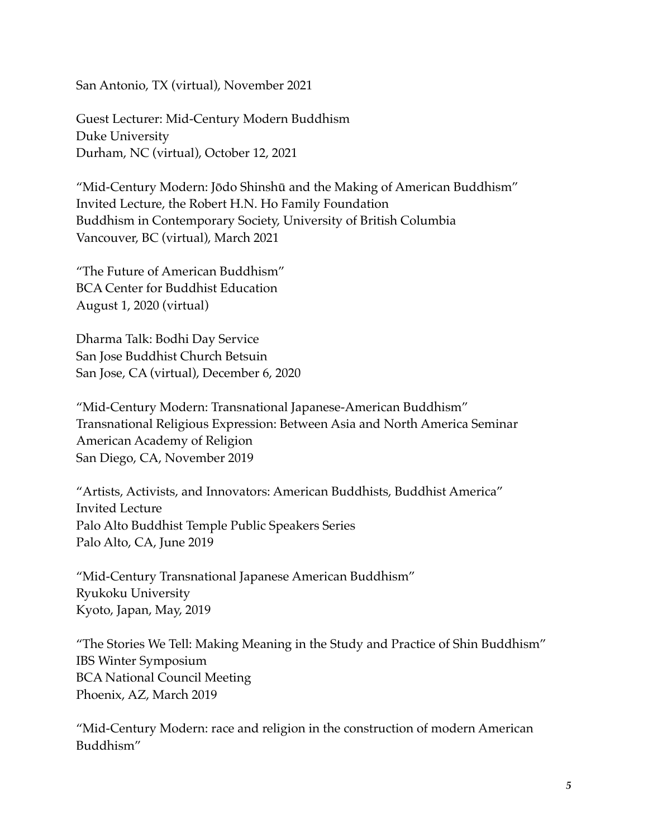San Antonio, TX (virtual), November 2021

Guest Lecturer: Mid-Century Modern Buddhism Duke University Durham, NC (virtual), October 12, 2021

"Mid-Century Modern: Jōdo Shinshū and the Making of American Buddhism" Invited Lecture, the Robert H.N. Ho Family Foundation Buddhism in Contemporary Society, University of British Columbia Vancouver, BC (virtual), March 2021

"The Future of American Buddhism" BCA Center for Buddhist Education August 1, 2020 (virtual)

Dharma Talk: Bodhi Day Service San Jose Buddhist Church Betsuin San Jose, CA (virtual), December 6, 2020

"Mid-Century Modern: Transnational Japanese-American Buddhism" Transnational Religious Expression: Between Asia and North America Seminar American Academy of Religion San Diego, CA, November 2019

"Artists, Activists, and Innovators: American Buddhists, Buddhist America" Invited Lecture Palo Alto Buddhist Temple Public Speakers Series Palo Alto, CA, June 2019

"Mid-Century Transnational Japanese American Buddhism" Ryukoku University Kyoto, Japan, May, 2019

"The Stories We Tell: Making Meaning in the Study and Practice of Shin Buddhism" IBS Winter Symposium BCA National Council Meeting Phoenix, AZ, March 2019

"Mid-Century Modern: race and religion in the construction of modern American Buddhism"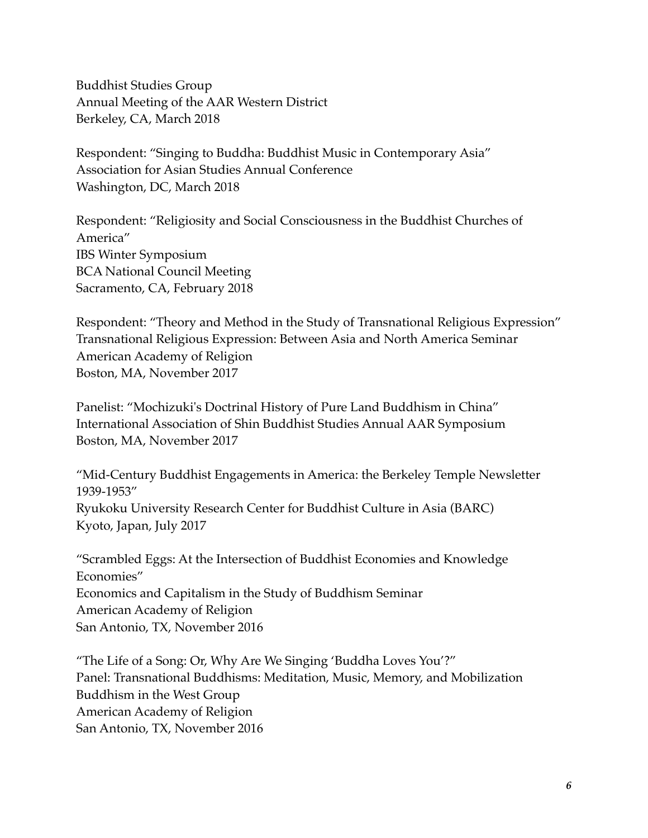Buddhist Studies Group Annual Meeting of the AAR Western District Berkeley, CA, March 2018

Respondent: "Singing to Buddha: Buddhist Music in Contemporary Asia" Association for Asian Studies Annual Conference Washington, DC, March 2018

Respondent: "Religiosity and Social Consciousness in the Buddhist Churches of America" IBS Winter Symposium BCA National Council Meeting Sacramento, CA, February 2018

Respondent: "Theory and Method in the Study of Transnational Religious Expression" Transnational Religious Expression: Between Asia and North America Seminar American Academy of Religion Boston, MA, November 2017

Panelist: "Mochizuki's Doctrinal History of Pure Land Buddhism in China" International Association of Shin Buddhist Studies Annual AAR Symposium Boston, MA, November 2017

"Mid-Century Buddhist Engagements in America: the Berkeley Temple Newsletter 1939-1953" Ryukoku University Research Center for Buddhist Culture in Asia (BARC) Kyoto, Japan, July 2017

"Scrambled Eggs: At the Intersection of Buddhist Economies and Knowledge Economies" Economics and Capitalism in the Study of Buddhism Seminar American Academy of Religion San Antonio, TX, November 2016

"The Life of a Song: Or, Why Are We Singing 'Buddha Loves You'?" Panel: Transnational Buddhisms: Meditation, Music, Memory, and Mobilization Buddhism in the West Group American Academy of Religion San Antonio, TX, November 2016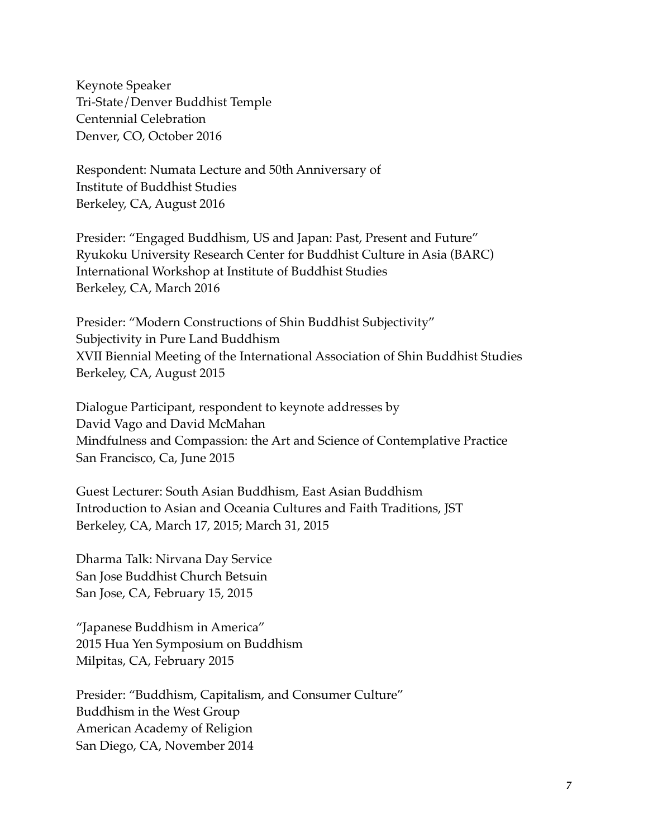Keynote Speaker Tri-State/Denver Buddhist Temple Centennial Celebration Denver, CO, October 2016

Respondent: Numata Lecture and 50th Anniversary of Institute of Buddhist Studies Berkeley, CA, August 2016

Presider: "Engaged Buddhism, US and Japan: Past, Present and Future" Ryukoku University Research Center for Buddhist Culture in Asia (BARC) International Workshop at Institute of Buddhist Studies Berkeley, CA, March 2016

Presider: "Modern Constructions of Shin Buddhist Subjectivity" Subjectivity in Pure Land Buddhism XVII Biennial Meeting of the International Association of Shin Buddhist Studies Berkeley, CA, August 2015

Dialogue Participant, respondent to keynote addresses by David Vago and David McMahan Mindfulness and Compassion: the Art and Science of Contemplative Practice San Francisco, Ca, June 2015

Guest Lecturer: South Asian Buddhism, East Asian Buddhism Introduction to Asian and Oceania Cultures and Faith Traditions, JST Berkeley, CA, March 17, 2015; March 31, 2015

Dharma Talk: Nirvana Day Service San Jose Buddhist Church Betsuin San Jose, CA, February 15, 2015

"Japanese Buddhism in America" 2015 Hua Yen Symposium on Buddhism Milpitas, CA, February 2015

Presider: "Buddhism, Capitalism, and Consumer Culture" Buddhism in the West Group American Academy of Religion San Diego, CA, November 2014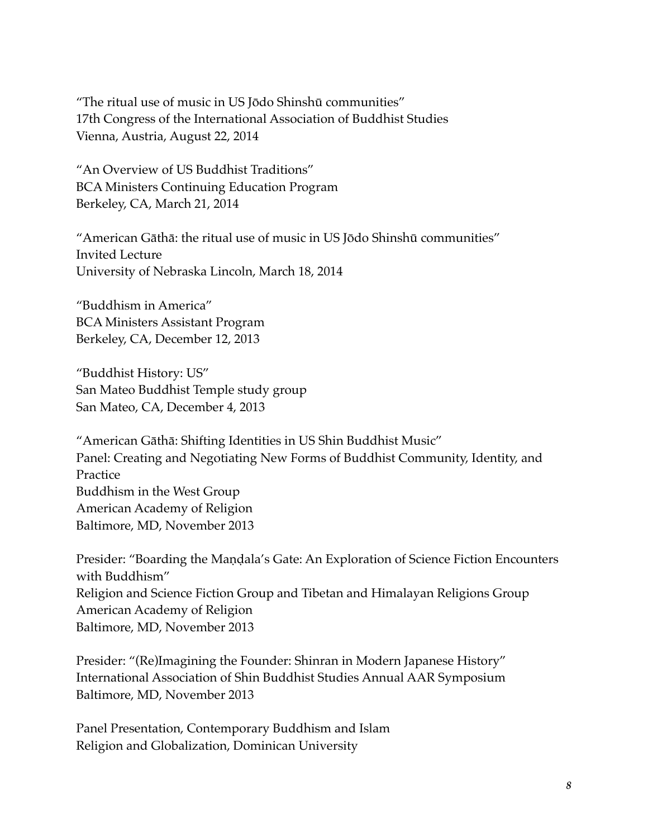"The ritual use of music in US Jōdo Shinshū communities" 17th Congress of the International Association of Buddhist Studies Vienna, Austria, August 22, 2014

"An Overview of US Buddhist Traditions" BCA Ministers Continuing Education Program Berkeley, CA, March 21, 2014

"American Gāthā: the ritual use of music in US Jōdo Shinshū communities" Invited Lecture University of Nebraska Lincoln, March 18, 2014

"Buddhism in America" BCA Ministers Assistant Program Berkeley, CA, December 12, 2013

"Buddhist History: US" San Mateo Buddhist Temple study group San Mateo, CA, December 4, 2013

"American Gāthā: Shifting Identities in US Shin Buddhist Music" Panel: Creating and Negotiating New Forms of Buddhist Community, Identity, and Practice Buddhism in the West Group American Academy of Religion Baltimore, MD, November 2013

Presider: "Boarding the Maṇḍala's Gate: An Exploration of Science Fiction Encounters with Buddhism" Religion and Science Fiction Group and Tibetan and Himalayan Religions Group American Academy of Religion Baltimore, MD, November 2013

Presider: "(Re)Imagining the Founder: Shinran in Modern Japanese History" International Association of Shin Buddhist Studies Annual AAR Symposium Baltimore, MD, November 2013

Panel Presentation, Contemporary Buddhism and Islam Religion and Globalization, Dominican University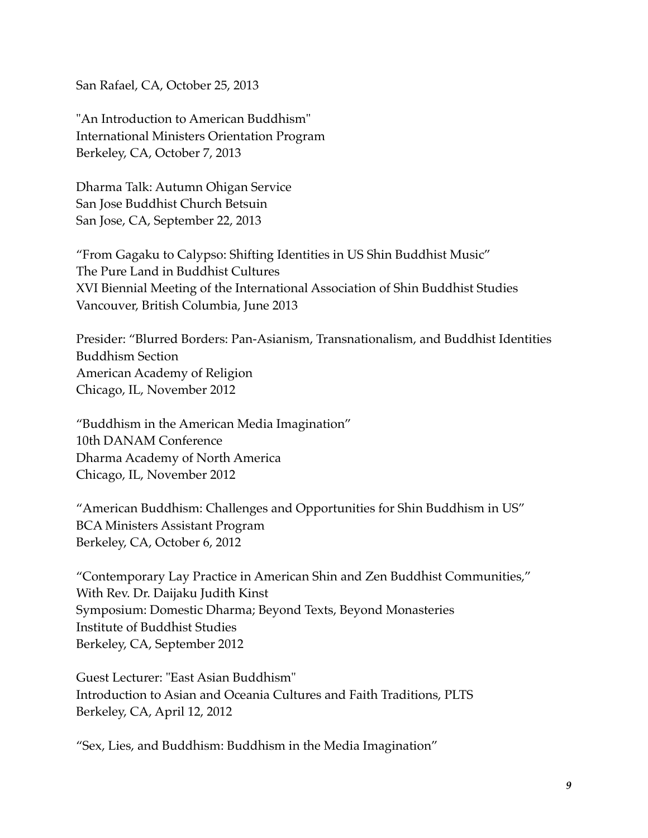San Rafael, CA, October 25, 2013

"An Introduction to American Buddhism" International Ministers Orientation Program Berkeley, CA, October 7, 2013

Dharma Talk: Autumn Ohigan Service San Jose Buddhist Church Betsuin San Jose, CA, September 22, 2013

"From Gagaku to Calypso: Shifting Identities in US Shin Buddhist Music" The Pure Land in Buddhist Cultures XVI Biennial Meeting of the International Association of Shin Buddhist Studies Vancouver, British Columbia, June 2013

Presider: "Blurred Borders: Pan-Asianism, Transnationalism, and Buddhist Identities Buddhism Section American Academy of Religion Chicago, IL, November 2012

"Buddhism in the American Media Imagination" 10th DANAM Conference Dharma Academy of North America Chicago, IL, November 2012

"American Buddhism: Challenges and Opportunities for Shin Buddhism in US" BCA Ministers Assistant Program Berkeley, CA, October 6, 2012

"Contemporary Lay Practice in American Shin and Zen Buddhist Communities," With Rev. Dr. Daijaku Judith Kinst Symposium: Domestic Dharma; Beyond Texts, Beyond Monasteries Institute of Buddhist Studies Berkeley, CA, September 2012

Guest Lecturer: "East Asian Buddhism" Introduction to Asian and Oceania Cultures and Faith Traditions, PLTS Berkeley, CA, April 12, 2012

"Sex, Lies, and Buddhism: Buddhism in the Media Imagination"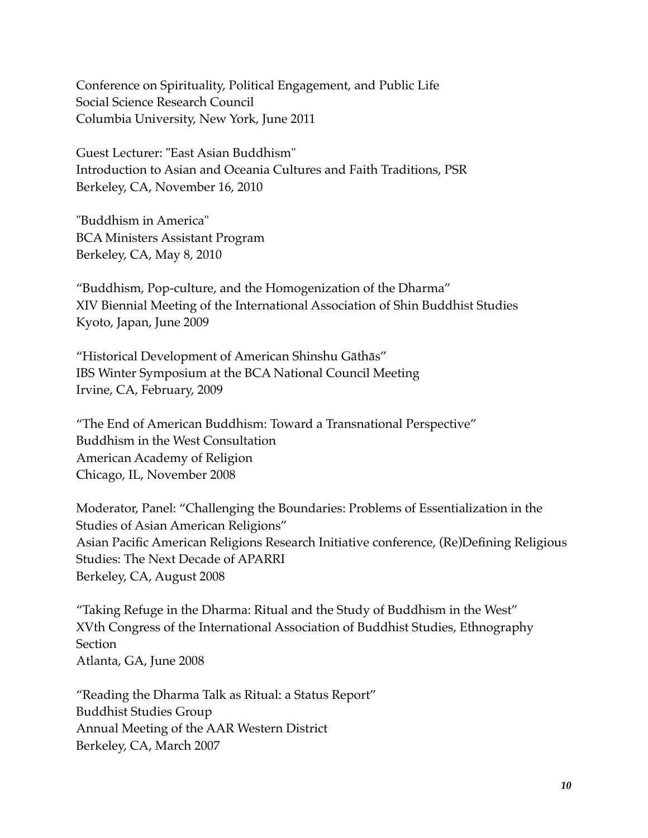Conference on Spirituality, Political Engagement, and Public Life Social Science Research Council Columbia University, New York, June 2011

Guest Lecturer: "East Asian Buddhism" Introduction to Asian and Oceania Cultures and Faith Traditions, PSR Berkeley, CA, November 16, 2010

"Buddhism in America" BCA Ministers Assistant Program Berkeley, CA, May 8, 2010

"Buddhism, Pop-culture, and the Homogenization of the Dharma" XIV Biennial Meeting of the International Association of Shin Buddhist Studies Kyoto, Japan, June 2009

"Historical Development of American Shinshu Gāthās" IBS Winter Symposium at the BCA National Council Meeting Irvine, CA, February, 2009

"The End of American Buddhism: Toward a Transnational Perspective" Buddhism in the West Consultation American Academy of Religion Chicago, IL, November 2008

Moderator, Panel: "Challenging the Boundaries: Problems of Essentialization in the Studies of Asian American Religions" Asian Pacific American Religions Research Initiative conference, (Re)Defining Religious Studies: The Next Decade of APARRI Berkeley, CA, August 2008

"Taking Refuge in the Dharma: Ritual and the Study of Buddhism in the West" XVth Congress of the International Association of Buddhist Studies, Ethnography **Section** Atlanta, GA, June 2008

"Reading the Dharma Talk as Ritual: a Status Report" Buddhist Studies Group Annual Meeting of the AAR Western District Berkeley, CA, March 2007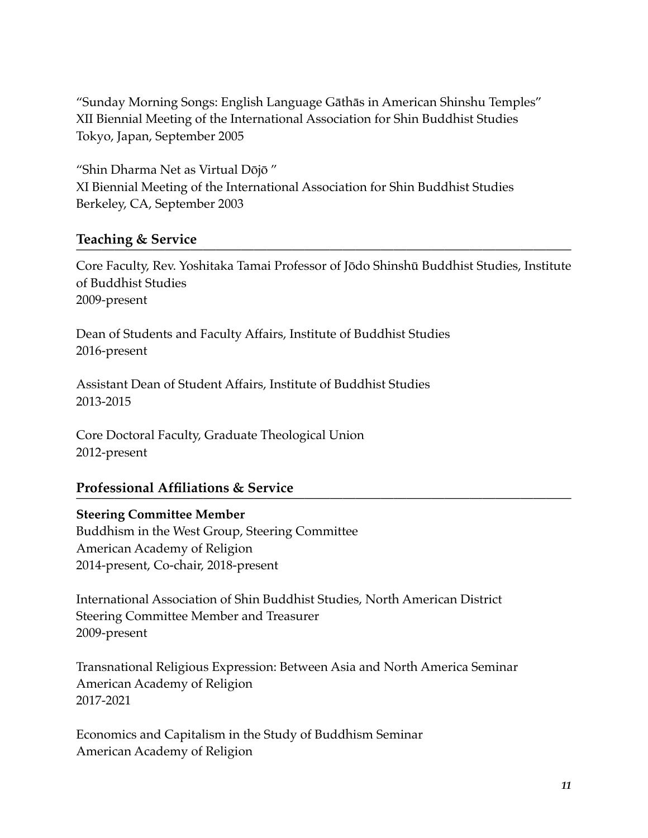"Sunday Morning Songs: English Language Gāthās in American Shinshu Temples" XII Biennial Meeting of the International Association for Shin Buddhist Studies Tokyo, Japan, September 2005

"Shin Dharma Net as Virtual Dōjō " XI Biennial Meeting of the International Association for Shin Buddhist Studies Berkeley, CA, September 2003

### **Teaching & Service**

Core Faculty, Rev. Yoshitaka Tamai Professor of Jōdo Shinshū Buddhist Studies, Institute of Buddhist Studies 2009-present

Dean of Students and Faculty Affairs, Institute of Buddhist Studies 2016-present

Assistant Dean of Student Affairs, Institute of Buddhist Studies 2013-2015

Core Doctoral Faculty, Graduate Theological Union 2012-present

### **Professional Affiliations & Service**

### **Steering Committee Member**

Buddhism in the West Group, Steering Committee American Academy of Religion 2014-present, Co-chair, 2018-present

International Association of Shin Buddhist Studies, North American District Steering Committee Member and Treasurer 2009-present

Transnational Religious Expression: Between Asia and North America Seminar American Academy of Religion 2017-2021

Economics and Capitalism in the Study of Buddhism Seminar American Academy of Religion